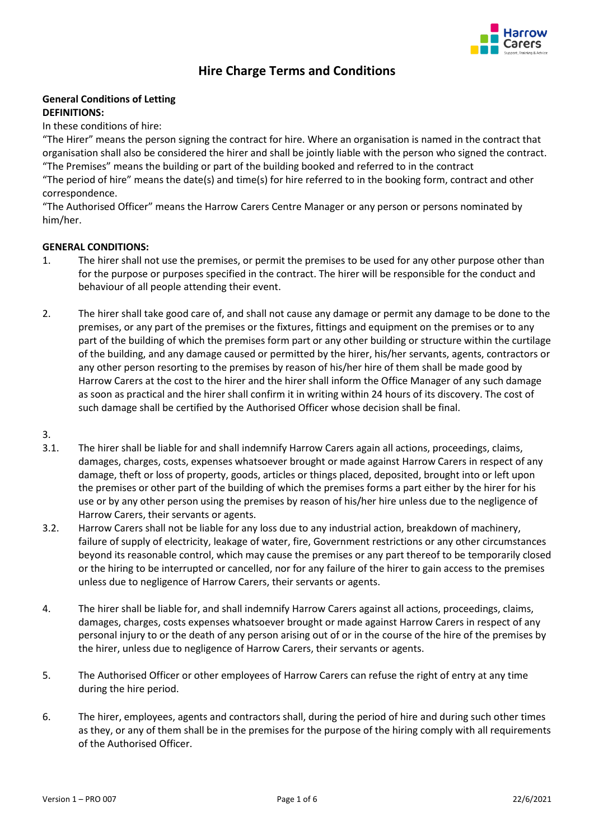

# **Hire Charge Terms and Conditions**

# **General Conditions of Letting DEFINITIONS:**

## In these conditions of hire:

"The Hirer" means the person signing the contract for hire. Where an organisation is named in the contract that organisation shall also be considered the hirer and shall be jointly liable with the person who signed the contract. "The Premises" means the building or part of the building booked and referred to in the contract "The period of hire" means the date(s) and time(s) for hire referred to in the booking form, contract and other correspondence.

"The Authorised Officer" means the Harrow Carers Centre Manager or any person or persons nominated by him/her.

## **GENERAL CONDITIONS:**

- 1. The hirer shall not use the premises, or permit the premises to be used for any other purpose other than for the purpose or purposes specified in the contract. The hirer will be responsible for the conduct and behaviour of all people attending their event.
- 2. The hirer shall take good care of, and shall not cause any damage or permit any damage to be done to the premises, or any part of the premises or the fixtures, fittings and equipment on the premises or to any part of the building of which the premises form part or any other building or structure within the curtilage of the building, and any damage caused or permitted by the hirer, his/her servants, agents, contractors or any other person resorting to the premises by reason of his/her hire of them shall be made good by Harrow Carers at the cost to the hirer and the hirer shall inform the Office Manager of any such damage as soon as practical and the hirer shall confirm it in writing within 24 hours of its discovery. The cost of such damage shall be certified by the Authorised Officer whose decision shall be final.
- 3.
- 3.1. The hirer shall be liable for and shall indemnify Harrow Carers again all actions, proceedings, claims, damages, charges, costs, expenses whatsoever brought or made against Harrow Carers in respect of any damage, theft or loss of property, goods, articles or things placed, deposited, brought into or left upon the premises or other part of the building of which the premises forms a part either by the hirer for his use or by any other person using the premises by reason of his/her hire unless due to the negligence of Harrow Carers, their servants or agents.
- 3.2. Harrow Carers shall not be liable for any loss due to any industrial action, breakdown of machinery, failure of supply of electricity, leakage of water, fire, Government restrictions or any other circumstances beyond its reasonable control, which may cause the premises or any part thereof to be temporarily closed or the hiring to be interrupted or cancelled, nor for any failure of the hirer to gain access to the premises unless due to negligence of Harrow Carers, their servants or agents.
- 4. The hirer shall be liable for, and shall indemnify Harrow Carers against all actions, proceedings, claims, damages, charges, costs expenses whatsoever brought or made against Harrow Carers in respect of any personal injury to or the death of any person arising out of or in the course of the hire of the premises by the hirer, unless due to negligence of Harrow Carers, their servants or agents.
- 5. The Authorised Officer or other employees of Harrow Carers can refuse the right of entry at any time during the hire period.
- 6. The hirer, employees, agents and contractors shall, during the period of hire and during such other times as they, or any of them shall be in the premises for the purpose of the hiring comply with all requirements of the Authorised Officer.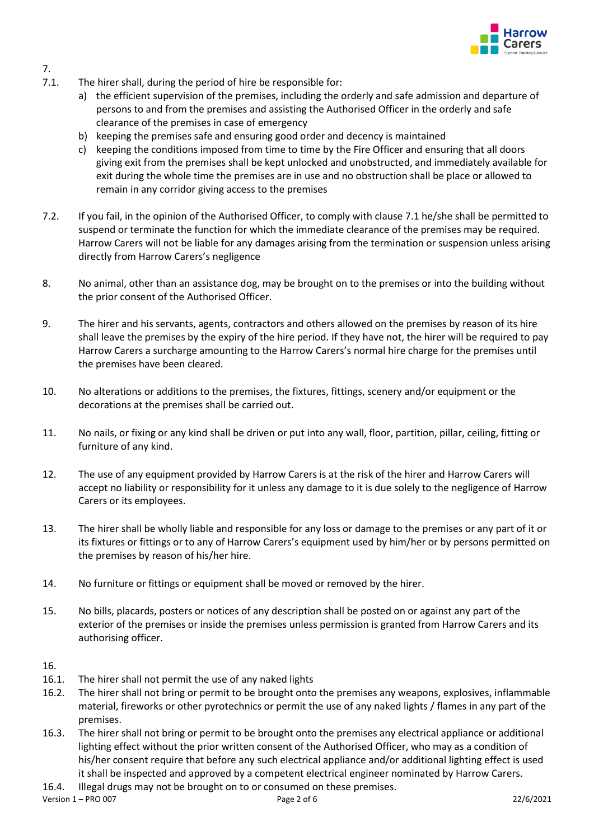

- 7.1. The hirer shall, during the period of hire be responsible for:
	- a) the efficient supervision of the premises, including the orderly and safe admission and departure of persons to and from the premises and assisting the Authorised Officer in the orderly and safe clearance of the premises in case of emergency
	- b) keeping the premises safe and ensuring good order and decency is maintained
	- c) keeping the conditions imposed from time to time by the Fire Officer and ensuring that all doors giving exit from the premises shall be kept unlocked and unobstructed, and immediately available for exit during the whole time the premises are in use and no obstruction shall be place or allowed to remain in any corridor giving access to the premises
- 7.2. If you fail, in the opinion of the Authorised Officer, to comply with clause 7.1 he/she shall be permitted to suspend or terminate the function for which the immediate clearance of the premises may be required. Harrow Carers will not be liable for any damages arising from the termination or suspension unless arising directly from Harrow Carers's negligence
- 8. No animal, other than an assistance dog, may be brought on to the premises or into the building without the prior consent of the Authorised Officer.
- 9. The hirer and his servants, agents, contractors and others allowed on the premises by reason of its hire shall leave the premises by the expiry of the hire period. If they have not, the hirer will be required to pay Harrow Carers a surcharge amounting to the Harrow Carers's normal hire charge for the premises until the premises have been cleared.
- 10. No alterations or additions to the premises, the fixtures, fittings, scenery and/or equipment or the decorations at the premises shall be carried out.
- 11. No nails, or fixing or any kind shall be driven or put into any wall, floor, partition, pillar, ceiling, fitting or furniture of any kind.
- 12. The use of any equipment provided by Harrow Carers is at the risk of the hirer and Harrow Carers will accept no liability or responsibility for it unless any damage to it is due solely to the negligence of Harrow Carers or its employees.
- 13. The hirer shall be wholly liable and responsible for any loss or damage to the premises or any part of it or its fixtures or fittings or to any of Harrow Carers's equipment used by him/her or by persons permitted on the premises by reason of his/her hire.
- 14. No furniture or fittings or equipment shall be moved or removed by the hirer.
- 15. No bills, placards, posters or notices of any description shall be posted on or against any part of the exterior of the premises or inside the premises unless permission is granted from Harrow Carers and its authorising officer.

## 16.

7.

- 16.1. The hirer shall not permit the use of any naked lights
- 16.2. The hirer shall not bring or permit to be brought onto the premises any weapons, explosives, inflammable material, fireworks or other pyrotechnics or permit the use of any naked lights / flames in any part of the premises.
- 16.3. The hirer shall not bring or permit to be brought onto the premises any electrical appliance or additional lighting effect without the prior written consent of the Authorised Officer, who may as a condition of his/her consent require that before any such electrical appliance and/or additional lighting effect is used it shall be inspected and approved by a competent electrical engineer nominated by Harrow Carers.
- 16.4. Illegal drugs may not be brought on to or consumed on these premises.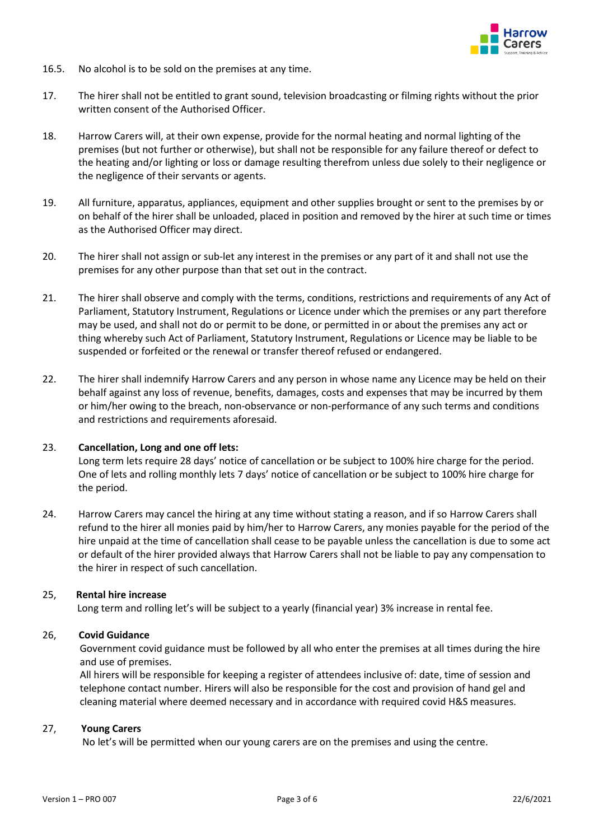

- 16.5. No alcohol is to be sold on the premises at any time.
- 17. The hirer shall not be entitled to grant sound, television broadcasting or filming rights without the prior written consent of the Authorised Officer.
- 18. Harrow Carers will, at their own expense, provide for the normal heating and normal lighting of the premises (but not further or otherwise), but shall not be responsible for any failure thereof or defect to the heating and/or lighting or loss or damage resulting therefrom unless due solely to their negligence or the negligence of their servants or agents.
- 19. All furniture, apparatus, appliances, equipment and other supplies brought or sent to the premises by or on behalf of the hirer shall be unloaded, placed in position and removed by the hirer at such time or times as the Authorised Officer may direct.
- 20. The hirer shall not assign or sub-let any interest in the premises or any part of it and shall not use the premises for any other purpose than that set out in the contract.
- 21. The hirer shall observe and comply with the terms, conditions, restrictions and requirements of any Act of Parliament, Statutory Instrument, Regulations or Licence under which the premises or any part therefore may be used, and shall not do or permit to be done, or permitted in or about the premises any act or thing whereby such Act of Parliament, Statutory Instrument, Regulations or Licence may be liable to be suspended or forfeited or the renewal or transfer thereof refused or endangered.
- 22. The hirer shall indemnify Harrow Carers and any person in whose name any Licence may be held on their behalf against any loss of revenue, benefits, damages, costs and expenses that may be incurred by them or him/her owing to the breach, non-observance or non-performance of any such terms and conditions and restrictions and requirements aforesaid.

## 23. **Cancellation, Long and one off lets:**

Long term lets require 28 days' notice of cancellation or be subject to 100% hire charge for the period. One of lets and rolling monthly lets 7 days' notice of cancellation or be subject to 100% hire charge for the period.

24. Harrow Carers may cancel the hiring at any time without stating a reason, and if so Harrow Carers shall refund to the hirer all monies paid by him/her to Harrow Carers, any monies payable for the period of the hire unpaid at the time of cancellation shall cease to be payable unless the cancellation is due to some act or default of the hirer provided always that Harrow Carers shall not be liable to pay any compensation to the hirer in respect of such cancellation.

## 25, **Rental hire increase**

Long term and rolling let's will be subject to a yearly (financial year) 3% increase in rental fee.

## 26, **Covid Guidance**

Government covid guidance must be followed by all who enter the premises at all times during the hire and use of premises.

 All hirers will be responsible for keeping a register of attendees inclusive of: date, time of session and telephone contact number. Hirers will also be responsible for the cost and provision of hand gel and cleaning material where deemed necessary and in accordance with required covid H&S measures.

## 27, **Young Carers**

No let's will be permitted when our young carers are on the premises and using the centre.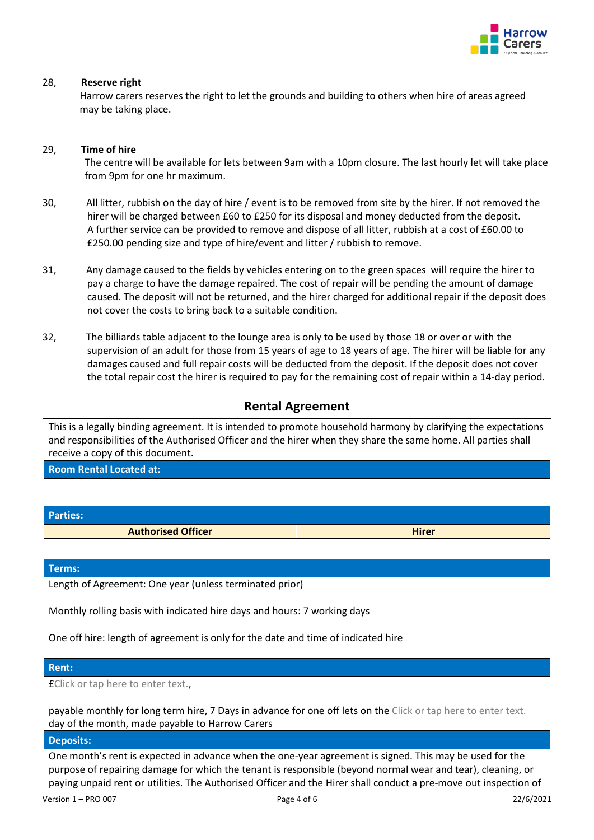

## 28, **Reserve right**

Harrow carers reserves the right to let the grounds and building to others when hire of areas agreed may be taking place.

## 29, **Time of hire**

 The centre will be available for lets between 9am with a 10pm closure. The last hourly let will take place from 9pm for one hr maximum.

- 30, All litter, rubbish on the day of hire / event is to be removed from site by the hirer. If not removed the hirer will be charged between £60 to £250 for its disposal and money deducted from the deposit. A further service can be provided to remove and dispose of all litter, rubbish at a cost of £60.00 to £250.00 pending size and type of hire/event and litter / rubbish to remove.
- 31, Any damage caused to the fields by vehicles entering on to the green spaces will require the hirer to pay a charge to have the damage repaired. The cost of repair will be pending the amount of damage caused. The deposit will not be returned, and the hirer charged for additional repair if the deposit does not cover the costs to bring back to a suitable condition.
- 32, The billiards table adjacent to the lounge area is only to be used by those 18 or over or with the supervision of an adult for those from 15 years of age to 18 years of age. The hirer will be liable for any damages caused and full repair costs will be deducted from the deposit. If the deposit does not cover the total repair cost the hirer is required to pay for the remaining cost of repair within a 14-day period.

# **Rental Agreement**

This is a legally binding agreement. It is intended to promote household harmony by clarifying the expectations and responsibilities of the Authorised Officer and the hirer when they share the same home. All parties shall receive a copy of this document.

**Room Rental Located at:**

**Parties:**

**Authorised Officer Hiral Contract Contract Contract Contract Contract Contract Contract Contract Contract Contract Contract Contract Contract Contract Contract Contract Contract Contract Contract Contract Contract Contr** 

**Terms:**

Length of Agreement: One year (unless terminated prior)

Monthly rolling basis with indicated hire days and hours: 7 working days

One off hire: length of agreement is only for the date and time of indicated hire

## **Rent:**

£Click or tap here to enter text.,

payable monthly for long term hire, 7 Days in advance for one off lets on the Click or tap here to enter text. day of the month, made payable to Harrow Carers

## **Deposits:**

One month's rent is expected in advance when the one-year agreement is signed. This may be used for the purpose of repairing damage for which the tenant is responsible (beyond normal wear and tear), cleaning, or paying unpaid rent or utilities. The Authorised Officer and the Hirer shall conduct a pre-move out inspection of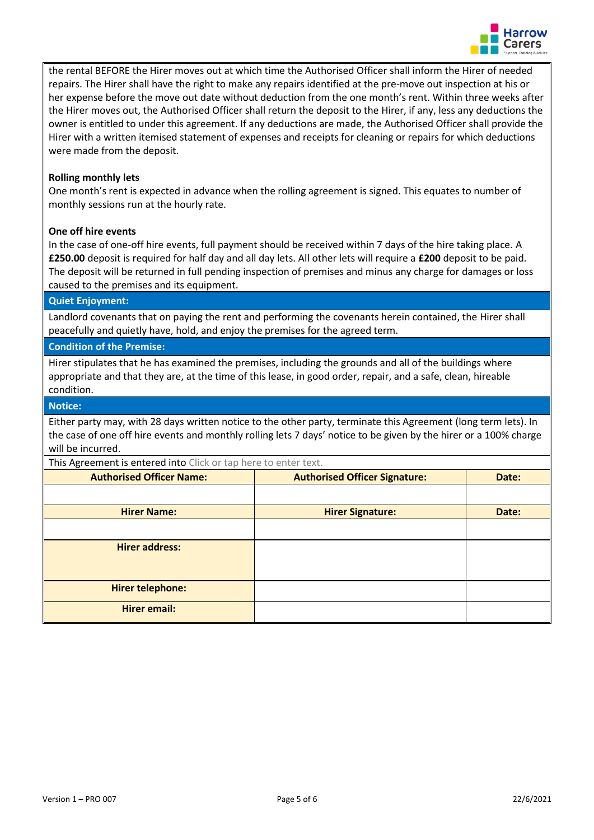

the rental BEFORE the Hirer moves out at which time the Authorised Officer shall inform the Hirer of needed repairs. The Hirer shall have the right to make any repairs identified at the pre-move out inspection at his or her expense before the move out date without deduction from the one month's rent. Within three weeks after the Hirer moves out, the Authorised Officer shall return the deposit to the Hirer, if any, less any deductions the owner is entitled to under this agreement. If any deductions are made, the Authorised Officer shall provide the Hirer with a written itemised statement of expenses and receipts for cleaning or repairs for which deductions were made from the deposit.

## **Rolling monthly lets**

One month's rent is expected in advance when the rolling agreement is signed. This equates to number of monthly sessions run at the hourly rate.

## **One off hire events**

In the case of one-off hire events, full payment should be received within 7 days of the hire taking place. A **£250.00** deposit is required for half day and all day lets. All other lets will require a **£200** deposit to be paid. The deposit will be returned in full pending inspection of premises and minus any charge for damages or loss caused to the premises and its equipment.

## **Quiet Enjoyment:**

Landlord covenants that on paying the rent and performing the covenants herein contained, the Hirer shall peacefully and quietly have, hold, and enjoy the premises for the agreed term.

## **Condition of the Premise:**

Hirer stipulates that he has examined the premises, including the grounds and all of the buildings where appropriate and that they are, at the time of this lease, in good order, repair, and a safe, clean, hireable condition.

#### **Notice:**

Either party may, with 28 days written notice to the other party, terminate this Agreement (long term lets). In the case of one off hire events and monthly rolling lets 7 days' notice to be given by the hirer or a 100% charge will be incurred.

This Agreement is entered into Click or tap here to enter text. **Authorised Officer Name: Authorised Officer Signature: Authorised Officer Signature: Date: Hirer Name: Hirer Signature: Date: Hirer address: Hirer telephone: Hirer email:**